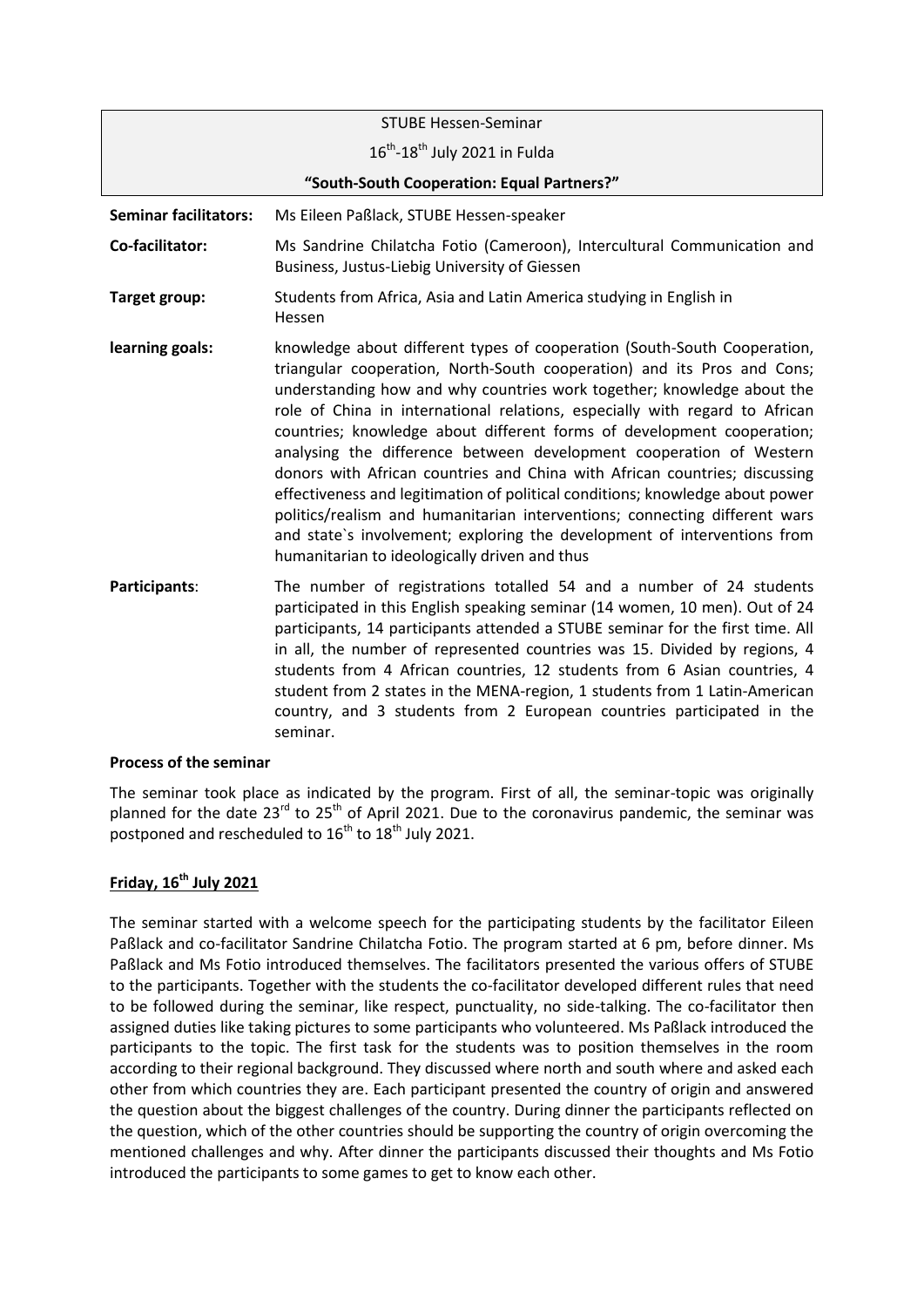| <b>STUBE Hessen-Seminar</b>                |                                                                                                                                                                                                                                                                                                                                                                                                                                                                                                                                                                                                                                                                                                                                                                                                                                         |
|--------------------------------------------|-----------------------------------------------------------------------------------------------------------------------------------------------------------------------------------------------------------------------------------------------------------------------------------------------------------------------------------------------------------------------------------------------------------------------------------------------------------------------------------------------------------------------------------------------------------------------------------------------------------------------------------------------------------------------------------------------------------------------------------------------------------------------------------------------------------------------------------------|
|                                            | 16 <sup>th</sup> -18 <sup>th</sup> July 2021 in Fulda                                                                                                                                                                                                                                                                                                                                                                                                                                                                                                                                                                                                                                                                                                                                                                                   |
| "South-South Cooperation: Equal Partners?" |                                                                                                                                                                                                                                                                                                                                                                                                                                                                                                                                                                                                                                                                                                                                                                                                                                         |
| <b>Seminar facilitators:</b>               | Ms Eileen Paßlack, STUBE Hessen-speaker                                                                                                                                                                                                                                                                                                                                                                                                                                                                                                                                                                                                                                                                                                                                                                                                 |
| Co-facilitator:                            | Ms Sandrine Chilatcha Fotio (Cameroon), Intercultural Communication and<br>Business, Justus-Liebig University of Giessen                                                                                                                                                                                                                                                                                                                                                                                                                                                                                                                                                                                                                                                                                                                |
| Target group:                              | Students from Africa, Asia and Latin America studying in English in<br>Hessen                                                                                                                                                                                                                                                                                                                                                                                                                                                                                                                                                                                                                                                                                                                                                           |
| learning goals:                            | knowledge about different types of cooperation (South-South Cooperation,<br>triangular cooperation, North-South cooperation) and its Pros and Cons;<br>understanding how and why countries work together; knowledge about the<br>role of China in international relations, especially with regard to African<br>countries; knowledge about different forms of development cooperation;<br>analysing the difference between development cooperation of Western<br>donors with African countries and China with African countries; discussing<br>effectiveness and legitimation of political conditions; knowledge about power<br>politics/realism and humanitarian interventions; connecting different wars<br>and state's involvement; exploring the development of interventions from<br>humanitarian to ideologically driven and thus |
| Participants:                              | The number of registrations totalled 54 and a number of 24 students<br>participated in this English speaking seminar (14 women, 10 men). Out of 24<br>participants, 14 participants attended a STUBE seminar for the first time. All<br>in all, the number of represented countries was 15. Divided by regions, 4<br>students from 4 African countries, 12 students from 6 Asian countries, 4<br>student from 2 states in the MENA-region, 1 students from 1 Latin-American<br>country, and 3 students from 2 European countries participated in the<br>seminar.                                                                                                                                                                                                                                                                        |

#### **Process of the seminar**

The seminar took place as indicated by the program. First of all, the seminar-topic was originally planned for the date  $23^{rd}$  to  $25^{th}$  of April 2021. Due to the coronavirus pandemic, the seminar was postponed and rescheduled to  $16^{th}$  to  $18^{th}$  July 2021.

## **Friday, 16th July 2021**

The seminar started with a welcome speech for the participating students by the facilitator Eileen Paßlack and co-facilitator Sandrine Chilatcha Fotio. The program started at 6 pm, before dinner. Ms Paßlack and Ms Fotio introduced themselves. The facilitators presented the various offers of STUBE to the participants. Together with the students the co-facilitator developed different rules that need to be followed during the seminar, like respect, punctuality, no side-talking. The co-facilitator then assigned duties like taking pictures to some participants who volunteered. Ms Paßlack introduced the participants to the topic. The first task for the students was to position themselves in the room according to their regional background. They discussed where north and south where and asked each other from which countries they are. Each participant presented the country of origin and answered the question about the biggest challenges of the country. During dinner the participants reflected on the question, which of the other countries should be supporting the country of origin overcoming the mentioned challenges and why. After dinner the participants discussed their thoughts and Ms Fotio introduced the participants to some games to get to know each other.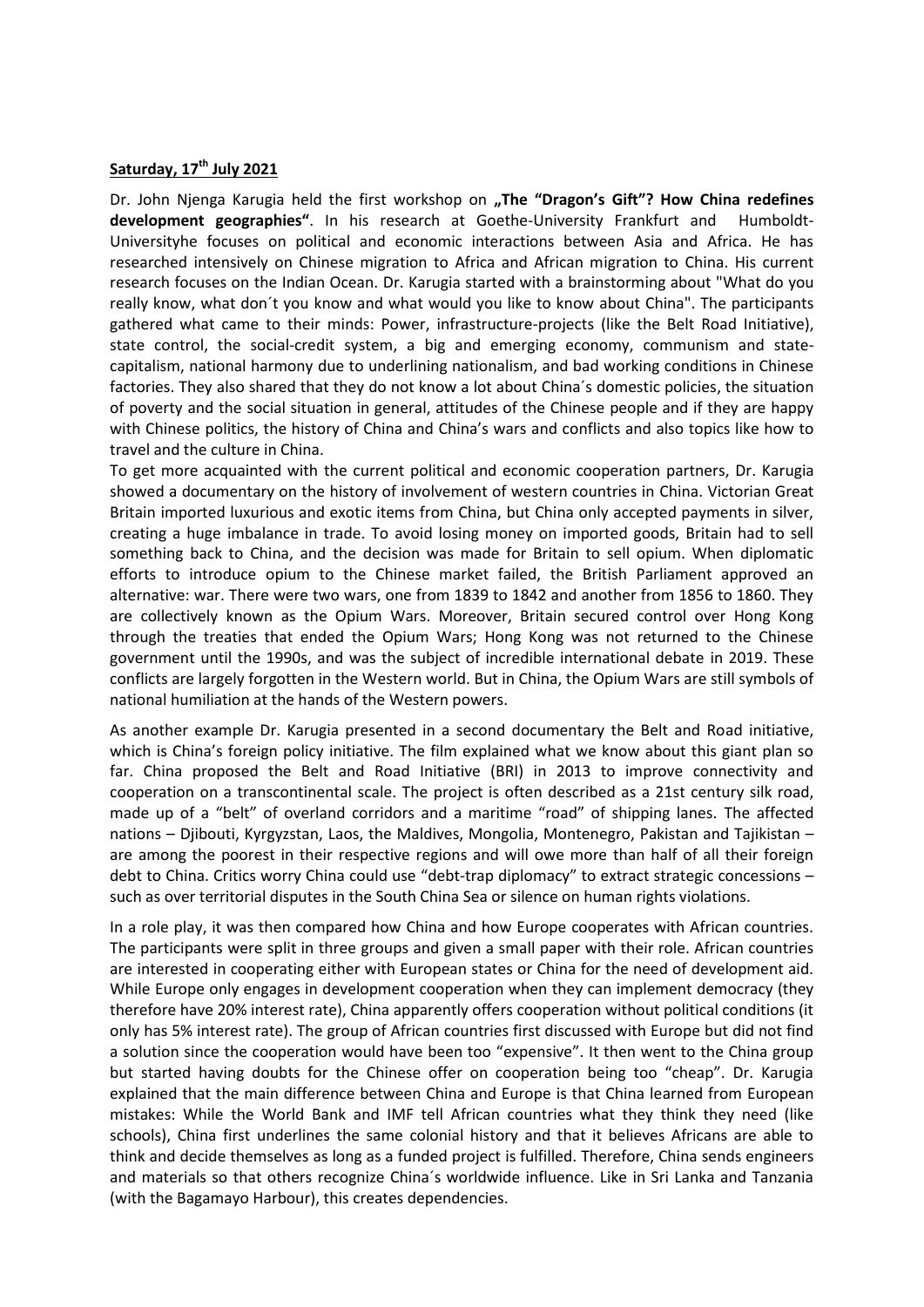# **Saturday, 17th July 2021**

Dr. John Njenga Karugia held the first workshop on **"The "Dragon's Gift"? How China redefines development geographies"**. In his research at Goethe-University Frankfurt and Humboldt-Universityhe focuses on political and economic interactions between Asia and Africa. He has researched intensively on Chinese migration to Africa and African migration to China. His current research focuses on the Indian Ocean. Dr. Karugia started with a brainstorming about "What do you really know, what don´t you know and what would you like to know about China". The participants gathered what came to their minds: Power, infrastructure-projects (like the Belt Road Initiative), state control, the social-credit system, a big and emerging economy, communism and statecapitalism, national harmony due to underlining nationalism, and bad working conditions in Chinese factories. They also shared that they do not know a lot about China´s domestic policies, the situation of poverty and the social situation in general, attitudes of the Chinese people and if they are happy with Chinese politics, the history of China and China's wars and conflicts and also topics like how to travel and the culture in China.

To get more acquainted with the current political and economic cooperation partners, Dr. Karugia showed a documentary on the history of involvement of western countries in China. Victorian Great Britain imported luxurious and exotic items from China, but China only accepted payments in silver, creating a huge imbalance in trade. To avoid losing money on imported goods, Britain had to sell something back to China, and the decision was made for Britain to sell opium. When diplomatic efforts to introduce opium to the Chinese market failed, the British Parliament approved an alternative: war. There were two wars, one from 1839 to 1842 and another from 1856 to 1860. They are collectively known as the Opium Wars. Moreover, Britain secured control over Hong Kong through the treaties that ended the Opium Wars; Hong Kong was not returned to the Chinese government until the 1990s, and was the subject of incredible international debate in 2019. These conflicts are largely forgotten in the Western world. But in China, the Opium Wars are still symbols of national humiliation at the hands of the Western powers.

As another example Dr. Karugia presented in a second documentary the Belt and Road initiative, which is China's foreign policy initiative. The film explained what we know about this giant plan so far. China proposed the Belt and Road Initiative (BRI) in 2013 to improve connectivity and cooperation on a transcontinental scale. The project is often described as a 21st century silk road, made up of a "belt" of overland corridors and a maritime "road" of shipping lanes. The affected nations – Djibouti, Kyrgyzstan, Laos, the Maldives, Mongolia, Montenegro, Pakistan and Tajikistan – are among the poorest in their respective regions and will owe more than half of all their foreign debt to China. Critics worry China could use "debt-trap diplomacy" to extract strategic concessions – such as over territorial disputes in the South China Sea or silence on human rights violations.

In a role play, it was then compared how China and how Europe cooperates with African countries. The participants were split in three groups and given a small paper with their role. African countries are interested in cooperating either with European states or China for the need of development aid. While Europe only engages in development cooperation when they can implement democracy (they therefore have 20% interest rate), China apparently offers cooperation without political conditions (it only has 5% interest rate). The group of African countries first discussed with Europe but did not find a solution since the cooperation would have been too "expensive". It then went to the China group but started having doubts for the Chinese offer on cooperation being too "cheap". Dr. Karugia explained that the main difference between China and Europe is that China learned from European mistakes: While the World Bank and IMF tell African countries what they think they need (like schools), China first underlines the same colonial history and that it believes Africans are able to think and decide themselves as long as a funded project is fulfilled. Therefore, China sends engineers and materials so that others recognize China´s worldwide influence. Like in Sri Lanka and Tanzania (with the Bagamayo Harbour), this creates dependencies.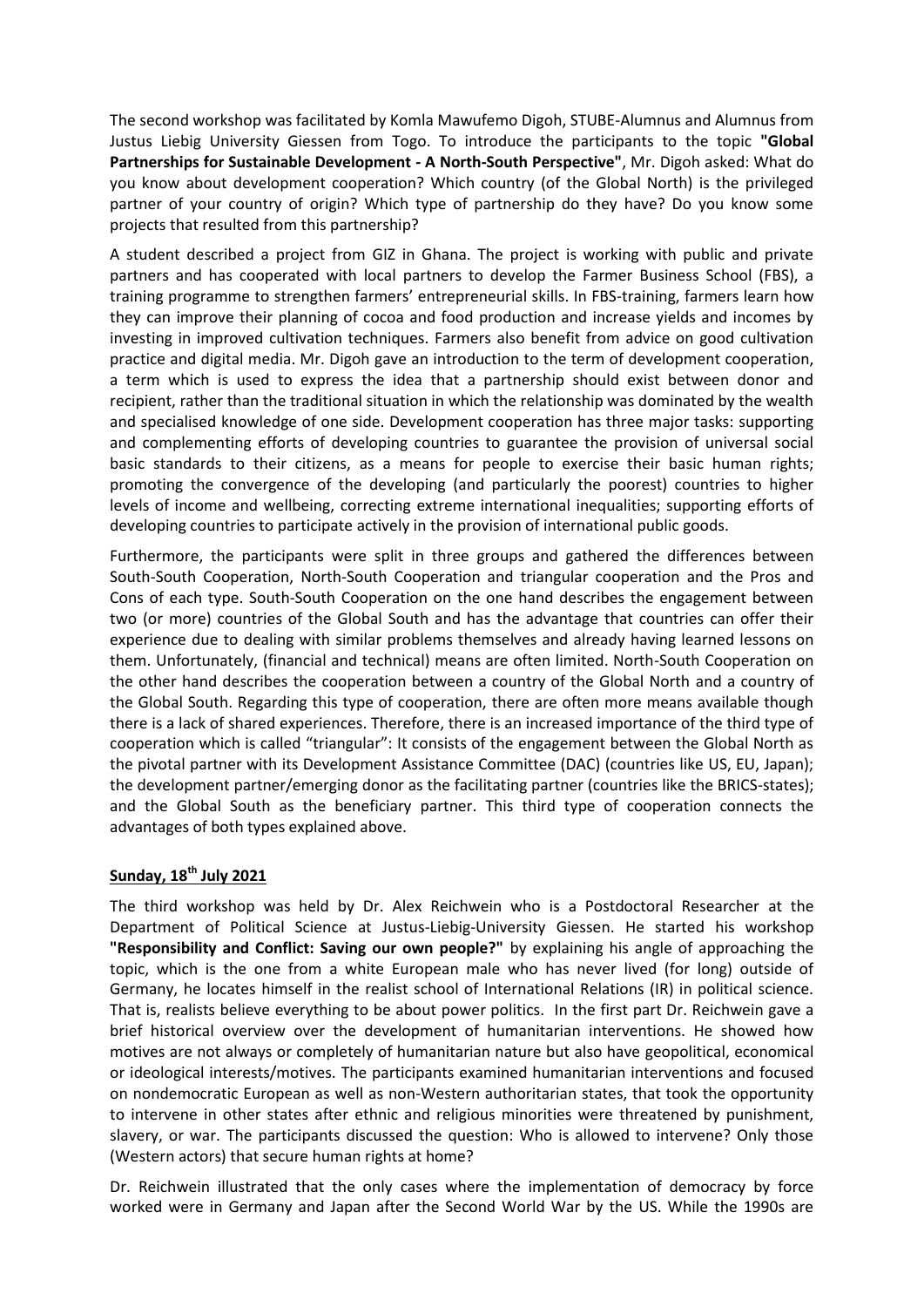The second workshop was facilitated by Komla Mawufemo Digoh, STUBE-Alumnus and Alumnus from Justus Liebig University Giessen from Togo. To introduce the participants to the topic **"Global Partnerships for Sustainable Development - A North-South Perspective"**, Mr. Digoh asked: What do you know about development cooperation? Which country (of the Global North) is the privileged partner of your country of origin? Which type of partnership do they have? Do you know some projects that resulted from this partnership?

A student described a project from GIZ in Ghana. The project is working with public and private partners and has cooperated with local partners to develop the Farmer Business School (FBS), a training programme to strengthen farmers' entrepreneurial skills. In FBS-training, farmers learn how they can improve their planning of cocoa and food production and increase yields and incomes by investing in improved cultivation techniques. Farmers also benefit from advice on good cultivation practice and digital media. Mr. Digoh gave an introduction to the term of development cooperation, a term which is used to express the idea that a partnership should exist between donor and recipient, rather than the traditional situation in which the relationship was dominated by the wealth and specialised knowledge of one side. Development cooperation has three major tasks: supporting and complementing efforts of developing countries to guarantee the provision of universal social basic standards to their citizens, as a means for people to exercise their basic human rights; promoting the convergence of the developing (and particularly the poorest) countries to higher levels of income and wellbeing, correcting extreme international inequalities; supporting efforts of developing countries to participate actively in the provision of international public goods.

Furthermore, the participants were split in three groups and gathered the differences between South-South Cooperation, North-South Cooperation and triangular cooperation and the Pros and Cons of each type. South-South Cooperation on the one hand describes the engagement between two (or more) countries of the Global South and has the advantage that countries can offer their experience due to dealing with similar problems themselves and already having learned lessons on them. Unfortunately, (financial and technical) means are often limited. North-South Cooperation on the other hand describes the cooperation between a country of the Global North and a country of the Global South. Regarding this type of cooperation, there are often more means available though there is a lack of shared experiences. Therefore, there is an increased importance of the third type of cooperation which is called "triangular": It consists of the engagement between the Global North as the pivotal partner with its Development Assistance Committee (DAC) (countries like US, EU, Japan); the development partner/emerging donor as the facilitating partner (countries like the BRICS-states); and the Global South as the beneficiary partner. This third type of cooperation connects the advantages of both types explained above.

#### **Sunday, 18th July 2021**

The third workshop was held by Dr. Alex Reichwein who is a Postdoctoral Researcher at the Department of Political Science at Justus-Liebig-University Giessen. He started his workshop **"Responsibility and Conflict: Saving our own people?"** by explaining his angle of approaching the topic, which is the one from a white European male who has never lived (for long) outside of Germany, he locates himself in the realist school of International Relations (IR) in political science. That is, realists believe everything to be about power politics. In the first part Dr. Reichwein gave a brief historical overview over the development of humanitarian interventions. He showed how motives are not always or completely of humanitarian nature but also have geopolitical, economical or ideological interests/motives. The participants examined humanitarian interventions and focused on nondemocratic European as well as non-Western authoritarian states, that took the opportunity to intervene in other states after ethnic and religious minorities were threatened by punishment, slavery, or war. The participants discussed the question: Who is allowed to intervene? Only those (Western actors) that secure human rights at home?

Dr. Reichwein illustrated that the only cases where the implementation of democracy by force worked were in Germany and Japan after the Second World War by the US. While the 1990s are